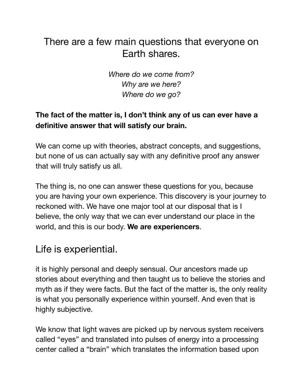## There are a few main questions that everyone on Earth shares.

*Where do we come from? Why are we here? Where do we go?* 

## **The fact of the matter is, I don't think any of us can ever have a definitive answer that will satisfy our brain.**

We can come up with theories, abstract concepts, and suggestions, but none of us can actually say with any definitive proof any answer that will truly satisfy us all.

The thing is, no one can answer these questions for you, because you are having your own experience. This discovery is your journey to reckoned with. We have one major tool at our disposal that is I believe, the only way that we can ever understand our place in the world, and this is our body. **We are experiencers**.

## Life is experiential.

it is highly personal and deeply sensual. Our ancestors made up stories about everything and then taught us to believe the stories and myth as if they were facts. But the fact of the matter is, the only reality is what you personally experience within yourself. And even that is highly subjective.

We know that light waves are picked up by nervous system receivers called "eyes" and translated into pulses of energy into a processing center called a "brain" which translates the information based upon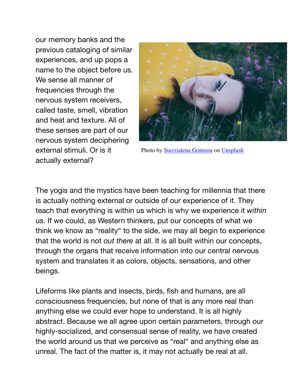our memory banks and the previous cataloging of similar experiences, and up pops a name to the object before us. We sense all manner of frequencies through the nervous system receivers, called taste, smell, vibration and heat and texture. All of these senses are part of our nervous system deciphering external stimuli. Or is it actually external?



Photo by [Stavrialena Gontzou](https://unsplash.com/@stavrialena?utm_source=unsplash&utm_medium=referral&utm_content=creditCopyText) on [Unsplash](https://unsplash.com/s/photos/cosmos?utm_source=unsplash&utm_medium=referral&utm_content=creditCopyText)

The yogis and the mystics have been teaching for millennia that there is actually nothing external or outside of our experience of it. They teach that everything is within us which is why we experience it *within* us. If we could, as Western thinkers, put our concepts of what we think we know as "reality" to the side, we may all begin to experience that the world is not *out there* at all. It is all built within our concepts, through the organs that receive information into our central nervous system and translates it as colors, objects, sensations, and other beings.

Lifeforms like plants and insects, birds, fish and humans, are all consciousness frequencies, but none of that is any more real than anything else we could ever hope to understand. It is all highly abstract. Because we all agree upon certain parameters, through our highly-socialized, and consensual sense of reality, we have created the world around us that we perceive as "real" and anything else as unreal. The fact of the matter is, it may not actually be real at all.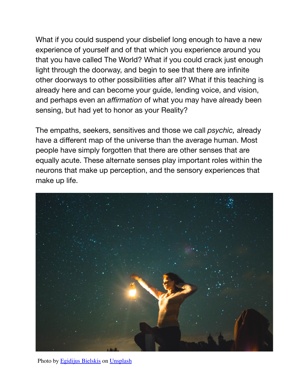What if you could suspend your disbelief long enough to have a new experience of yourself and of that which you experience around you that you have called The World? What if you could crack just enough light through the doorway, and begin to see that there are infinite other doorways to other possibilities after all? What if this teaching is already here and can become your guide, lending voice, and vision, and perhaps even an *affirmation* of what you may have already been sensing, but had yet to honor as your Reality?

The empaths, seekers, sensitives and those we call *psychic,* already have a different map of the universe than the average human. Most people have simply forgotten that there are other senses that are equally acute. These alternate senses play important roles within the neurons that make up perception, and the sensory experiences that make up life.



Photo by [Egidijus Bielskis](https://unsplash.com/@wizardwork?utm_source=unsplash&utm_medium=referral&utm_content=creditCopyText) on [Unsplash](https://unsplash.com/s/photos/starry-sky?utm_source=unsplash&utm_medium=referral&utm_content=creditCopyText)